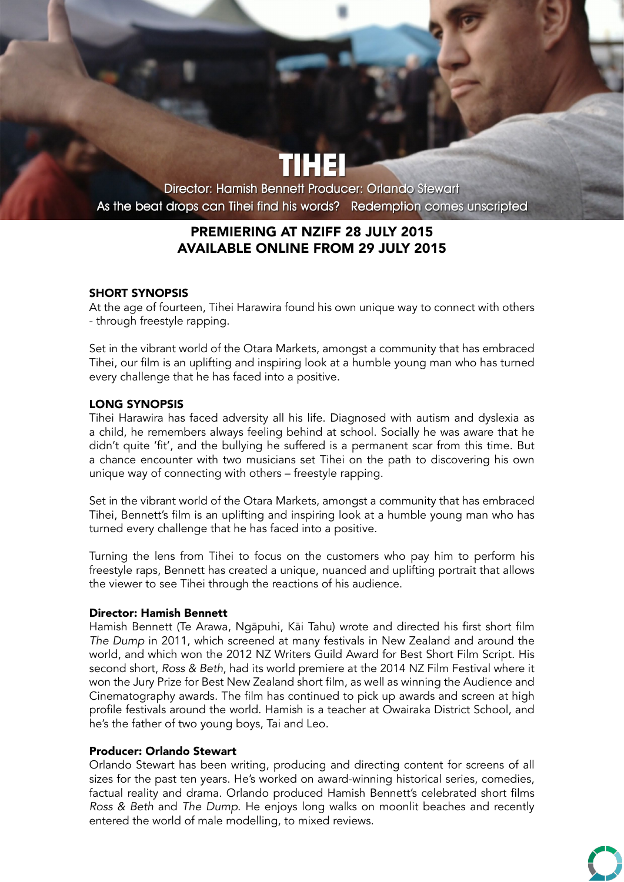Director: Hamish Bennett Producer: Orlando Stewart As the beat drops can Tihei find his words? Redemption comes unscripted

# PREMIERING AT NZIFF 28 JULY 2015 AVAILABLE ONLINE FROM 29 JULY 2015

### SHORT SYNOPSIS

At the age of fourteen, Tihei Harawira found his own unique way to connect with others - through freestyle rapping.

Set in the vibrant world of the Otara Markets, amongst a community that has embraced Tihei, our film is an uplifting and inspiring look at a humble young man who has turned every challenge that he has faced into a positive.

### LONG SYNOPSIS

Tihei Harawira has faced adversity all his life. Diagnosed with autism and dyslexia as a child, he remembers always feeling behind at school. Socially he was aware that he didn't quite 'fit', and the bullying he suffered is a permanent scar from this time. But a chance encounter with two musicians set Tihei on the path to discovering his own unique way of connecting with others – freestyle rapping.

Set in the vibrant world of the Otara Markets, amongst a community that has embraced Tihei, Bennett's film is an uplifting and inspiring look at a humble young man who has turned every challenge that he has faced into a positive.

Turning the lens from Tihei to focus on the customers who pay him to perform his freestyle raps, Bennett has created a unique, nuanced and uplifting portrait that allows the viewer to see Tihei through the reactions of his audience.

### Director: Hamish Bennett

Hamish Bennett (Te Arawa, Ngāpuhi, Kāi Tahu) wrote and directed his first short film *The Dump* in 2011, which screened at many festivals in New Zealand and around the world, and which won the 2012 NZ Writers Guild Award for Best Short Film Script. His second short, *Ross & Beth*, had its world premiere at the 2014 NZ Film Festival where it won the Jury Prize for Best New Zealand short film, as well as winning the Audience and Cinematography awards. The film has continued to pick up awards and screen at high profile festivals around the world. Hamish is a teacher at Owairaka District School, and he's the father of two young boys, Tai and Leo.

### Producer: Orlando Stewart

Orlando Stewart has been writing, producing and directing content for screens of all sizes for the past ten years. He's worked on award-winning historical series, comedies, factual reality and drama. Orlando produced Hamish Bennett's celebrated short films *Ross & Beth* and *The Dump*. He enjoys long walks on moonlit beaches and recently entered the world of male modelling, to mixed reviews.